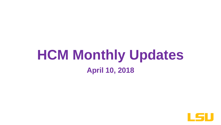# **HCM Monthly Updates April 10, 2018**

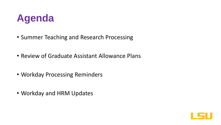

- Summer Teaching and Research Processing
- Review of Graduate Assistant Allowance Plans
- Workday Processing Reminders
- Workday and HRM Updates

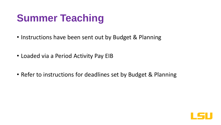# **Summer Teaching**

- Instructions have been sent out by Budget & Planning
- Loaded via a Period Activity Pay EIB
- Refer to instructions for deadlines set by Budget & Planning

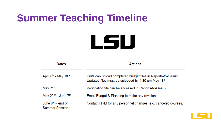# **Summer Teaching Timeline**



| <b>Dates</b>                                 | <b>Actions</b>                                                                                                     |
|----------------------------------------------|--------------------------------------------------------------------------------------------------------------------|
| April $6th$ - May 18 <sup>th</sup>           | Units can upload completed budget files in Reports-to-Geaux.<br>Updated files must be uploaded by 4:30 pm May 18th |
| May 21 <sup>st</sup>                         | Verification file can be accessed in Reports-to-Geaux                                                              |
| May $22nd$ - June $7th$                      | Email Budget & Planning to make any revisions.                                                                     |
| June $8th$ – end of<br><b>Summer Session</b> | Contact HRM for any personnel changes, e.g. canceled courses.                                                      |

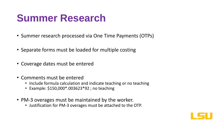# **Summer Research**

- Summer research processed via One Time Payments (OTPs)
- Separate forms must be loaded for multiple costing
- Coverage dates must be entered
- Comments must be entered
	- Include formula calculation and indicate teaching or no teaching
	- Example: \$150,000\*.003623\*92 ; no teaching
- PM-3 overages must be maintained by the worker.
	- Justification for PM-3 overages must be attached to the OTP.

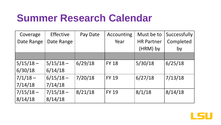## **Summer Research Calendar**

| Coverage    | <b>Effective</b> | Pay Date | Accounting   | Must be to        | Successfully |
|-------------|------------------|----------|--------------|-------------------|--------------|
| Date Range  | Date Range       |          | Year         | <b>HR Partner</b> | Completed    |
|             |                  |          |              | (HRM) by          | by           |
|             |                  |          |              |                   |              |
| $5/15/18 -$ | $5/15/18 -$      | 6/29/18  | <b>FY 18</b> | 5/30/18           | 6/25/18      |
| 6/30/18     | 6/14/18          |          |              |                   |              |
| $7/1/18 -$  | $6/15/18 -$      | 7/20/18  | <b>FY 19</b> | 6/27/18           | 7/13/18      |
| 7/14/18     | 7/14/18          |          |              |                   |              |
| $7/15/18 -$ | $7/15/18 -$      | 8/21/18  | <b>FY 19</b> | 8/1/18            | 8/14/18      |
| 8/14/18     | 8/14/18          |          |              |                   |              |

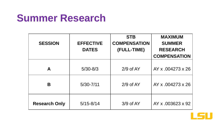#### **Summer Research**

| <b>SESSION</b>       | <b>EFFECTIVE</b><br><b>DATES</b> | <b>STB</b><br><b>COMPENSATION</b><br>(FULL-TIME) | <b>MAXIMUM</b><br><b>SUMMER</b><br><b>RESEARCH</b><br><b>COMPENSATION</b> |
|----------------------|----------------------------------|--------------------------------------------------|---------------------------------------------------------------------------|
| A                    | $5/30 - 8/3$                     | $2/9$ of AY                                      | AY x .004273 x 26                                                         |
| Β                    | $5/30 - 7/11$                    | $2/9$ of AY                                      | AY x .004273 x 26                                                         |
| <b>Research Only</b> | $5/15 - 8/14$                    | $3/9$ of AY                                      | AY x .003623 x 92                                                         |

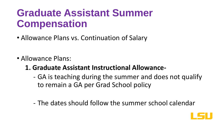- Allowance Plans vs. Continuation of Salary
- Allowance Plans:
	- **1. Graduate Assistant Instructional Allowance-**
		- GA is teaching during the summer and does not qualify to remain a GA per Grad School policy
		- The dates should follow the summer school calendar

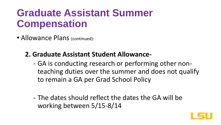• Allowance Plans (continued):

#### **2. Graduate Assistant Student Allowance-**

- GA is conducting research or performing other nonteaching duties over the summer and does not qualify to remain a GA per Grad School Policy
- The dates should reflect the dates the GA will be working between 5/15-8/14

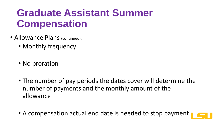- Allowance Plans (continued):
	- Monthly frequency
	- No proration
	- The number of pay periods the dates cover will determine the number of payments and the monthly amount of the allowance
	- A compensation actual end date is needed to stop payment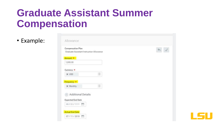• Example:

| Compensation Plan<br>Graduate Assistant Instruction Allowance |  |
|---------------------------------------------------------------|--|
|                                                               |  |
| Amount *                                                      |  |
| 1,000.00                                                      |  |
|                                                               |  |
| Currency *                                                    |  |
| 三<br><b>X USD</b>                                             |  |
|                                                               |  |
| Frequency $*$                                                 |  |
| 三<br>X Monthly                                                |  |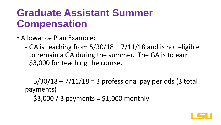- Allowance Plan Example:
	- GA is teaching from  $5/30/18 7/11/18$  and is not eligible to remain a GA during the summer. The GA is to earn \$3,000 for teaching the course.

 $5/30/18 - 7/11/18 = 3$  professional pay periods (3 total payments)  $$3,000 / 3$  payments =  $$1,000$  monthly

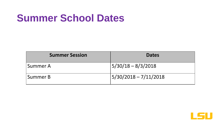# **Summer School Dates**

| <b>Summer Session</b> | <b>Dates</b>           |
|-----------------------|------------------------|
| Summer A              | $ 5/30/18 - 8/3/2018 $ |
| Summer B              | 5/30/2018 - 7/11/2018  |

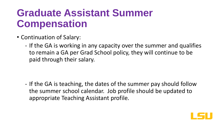- Continuation of Salary:
	- If the GA is working in any capacity over the summer and qualifies to remain a GA per Grad School policy, they will continue to be paid through their salary.

- If the GA is teaching, the dates of the summer pay should follow the summer school calendar. Job profile should be updated to appropriate Teaching Assistant profile.

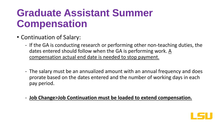- Continuation of Salary:
	- If the GA is conducting research or performing other non-teaching duties, the dates entered should follow when the GA is performing work. A compensation actual end date is needed to stop payment.
	- The salary must be an annualized amount with an annual frequency and does prorate based on the dates entered and the number of working days in each pay period.
	- **Job Change>Job Continuation must be loaded to extend compensation.**

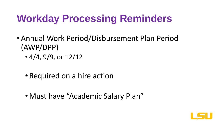- Annual Work Period/Disbursement Plan Period (AWP/DPP)
	- $\cdot$  4/4, 9/9, or 12/12
	- Required on a hire action
	- Must have "Academic Salary Plan"

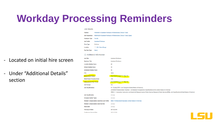**Job Details** 

#### - Located on initial hire screen

- Under "Additional Details" section

#### **Position** P00008515 Assistant Professor of Mathematics (Tenure Track) R00016293 Assistant Professor of Mathematics (Tenure Track) (Open) **Job Requisition Employee Type** Faculty **Assistant Professor** Job Profile Full time **Time Type Q** LSU - Baton Rouge Location **Pav Rate Type** Salary

#### $\sim$  Additional Information

| . .                                                |                                                                                                                                                                                                                                                                                                                                               |
|----------------------------------------------------|-----------------------------------------------------------------------------------------------------------------------------------------------------------------------------------------------------------------------------------------------------------------------------------------------------------------------------------------------|
| <b>Job Title</b>                                   | <b>Assistant Professor</b>                                                                                                                                                                                                                                                                                                                    |
| <b>Business Title</b>                              | <b>Assistant Professor</b>                                                                                                                                                                                                                                                                                                                    |
| <b>Location Weekly Hours</b>                       | 40                                                                                                                                                                                                                                                                                                                                            |
| <b>Default Weekly Hours</b>                        | 40                                                                                                                                                                                                                                                                                                                                            |
| <b>Scheduled Weekly Hours</b>                      | 40                                                                                                                                                                                                                                                                                                                                            |
| <b>FTE</b>                                         | 100%                                                                                                                                                                                                                                                                                                                                          |
| <b>Annual Work Period</b>                          | Nine Month (August 15 - May 14)                                                                                                                                                                                                                                                                                                               |
| <b>Work Period Percent of Year</b>                 | 75%                                                                                                                                                                                                                                                                                                                                           |
| <b>Disbursement Plan Period</b>                    | Nine Month (August 15 - May 14)                                                                                                                                                                                                                                                                                                               |
| <b>Job Exempt</b>                                  | Yes                                                                                                                                                                                                                                                                                                                                           |
| <b>Job Classifications</b>                         | 02 - Faculty (EEO-1 Job Categories-United States of America)<br>25100000-Postsecondary Teachers - (US Standard Occupational Classifications (SOC)-United States of America)<br>IPEDS-1 - Instruction, Instruction combined with Research and/or Public Service, Research, Public Service (IPEDs Job Classifications-United States of America) |
| <b>Job Classification</b>                          | (empty)                                                                                                                                                                                                                                                                                                                                       |
| <b>Company Insider Types</b>                       | (empty)                                                                                                                                                                                                                                                                                                                                       |
| <b>Workers' Compensation Code from Job Profile</b> | 8868 - Professional Employees (United States of America)                                                                                                                                                                                                                                                                                      |
| <b>Workers' Compensation Code Override</b>         | (empty)                                                                                                                                                                                                                                                                                                                                       |
| <b>Work Shift</b>                                  | (empty)                                                                                                                                                                                                                                                                                                                                       |
| <b>First Day of Work</b>                           | 08/15/2018                                                                                                                                                                                                                                                                                                                                    |
| Continuous Service Date                            | 08/15/2018                                                                                                                                                                                                                                                                                                                                    |

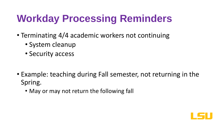- Terminating 4/4 academic workers not continuing
	- System cleanup
	- Security access

- Example: teaching during Fall semester, not returning in the Spring.
	- May or may not return the following fall

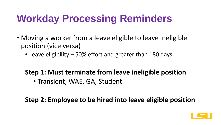- Moving a worker from a leave eligible to leave ineligible position (vice versa)
	- Leave eligibility 50% effort and greater than 180 days

#### **Step 1: Must terminate from leave ineligible position**

• Transient, WAE, GA, Student

#### **Step 2: Employee to be hired into leave eligible position**

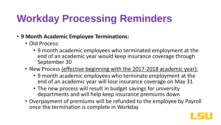- **9 Month Academic Employee Terminations:**
	- Old Process:
		- 9 month academic employees who terminated employment at the end of an academic year would keep insurance coverage through September 30
	- New Process (effective beginning with the 2017-2018 academic year):
		- 9 month academic employees who terminate employment at the end of an academic year will lose insurance coverage on May 31
		- The new process will result in budget savings for university departments and will help keep insurance premiums down
	- Overpayment of premiums will be refunded to the employee by Payroll once the termination is complete in Workday

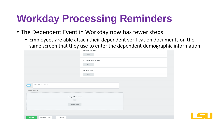- The Dependent Event in Workday now has fewer steps
	- Employees are able attach their dependent verification documents on the same screen that they use to enter the dependent demographic information

|                                              | <b>National IDS</b><br>Add |
|----------------------------------------------|----------------------------|
|                                              | Government IDs<br>Add      |
|                                              | Other IDs<br>Add           |
| enter your comment                           |                            |
| Attachments                                  |                            |
| Drop files here<br>$\circ$ r<br>Select files |                            |
| Submit<br>Save for Later<br>Cancel           |                            |

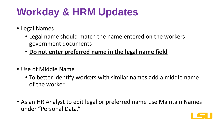# **Workday & HRM Updates**

- Legal Names
	- Legal name should match the name entered on the workers government documents
	- **Do not enter preferred name in the legal name field**
- Use of Middle Name
	- To better identify workers with similar names add a middle name of the worker
- As an HR Analyst to edit legal or preferred name use Maintain Names under "Personal Data."

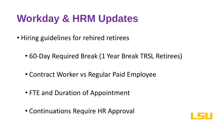# **Workday & HRM Updates**

- Hiring guidelines for rehired retirees
	- 60-Day Required Break (1 Year Break TRSL Retirees)
	- Contract Worker vs Regular Paid Employee
	- FTE and Duration of Appointment
	- Continuations Require HR Approval